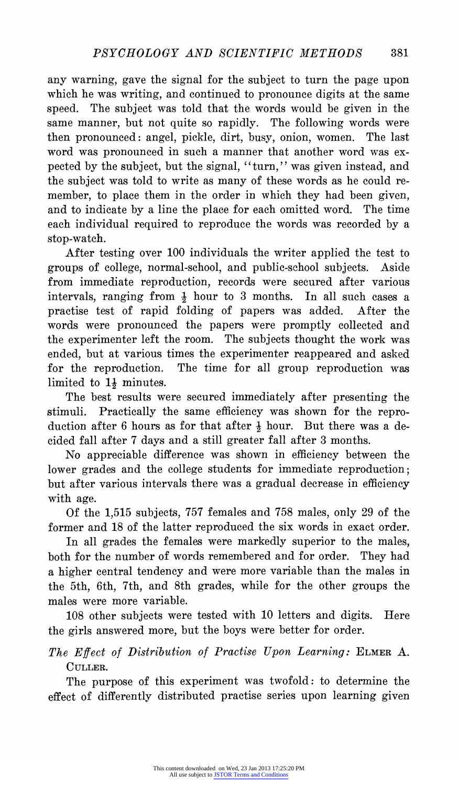**any warning, gave the signal for the subject to turn the page upon which he was writing, and continued to pronounce digits at the same speed. The subject was told that the words would be given in the same manner, but not quite so rapidly. The following words were then pronounced: angel, pickle, dirt, busy, onion, women. The last word was pronounced in such a manner that another word was expected by the subject, but the signal, "turn," was given instead, and the subject was told to write as many of these words as he could remember, to place them in the order in which they had been given, and to indicate by a line the place for each omitted word. The time each individual required to reproduce the words was recorded by a stop-watch.** 

**After testing over 100 individuals the writer applied the test to groups of college, normal-school, and public-school subjects. Aside from immediate reproduction, records were secured after various intervals, ranging from A hour to 3 months. In all such cases a practise test of rapid folding of papers was added. After the words were pronounced the papers were promptly collected and the experimenter left the room. The subjects thought the work was ended, but at various times the experimenter reappeared and asked for the reproduction. The time for all group reproduction was limited to 11 minutes.** 

**The best results were secured immediately after presenting the stimuli. Practically the same efficiency was shown for the reproduction after 6 hours as for that after i hour. But there was a decided fall after 7 days and a still greater fall after 3 months.** 

**No appreciable difference was shown in efficiency between the lower grades and the college students for immediate reproduction; but after various intervals there was a gradual decrease in efficiency with age.** 

**Of the 1,515 subjects, 757 females and 758 males, only 29 of the former and 18 of the latter reproduced the six words in exact order.** 

**In all grades the females were markedly superior to the males, both for the number of words remembered and for order. They had a higher central tendency and were more variable than the males in the 5th, 6th, 7th, and 8th grades, while for the other groups the males were more variable.** 

**108 other subjects were tested with 10 letters and digits. Here the girls answered more, but the boys were better for order.** 

**The Effect of Distribution of Practise Upon Learning: ELMER A. CULLER.** 

**The purpose of this experiment was twofold: to determine the effect of differently distributed practise series upon learning given**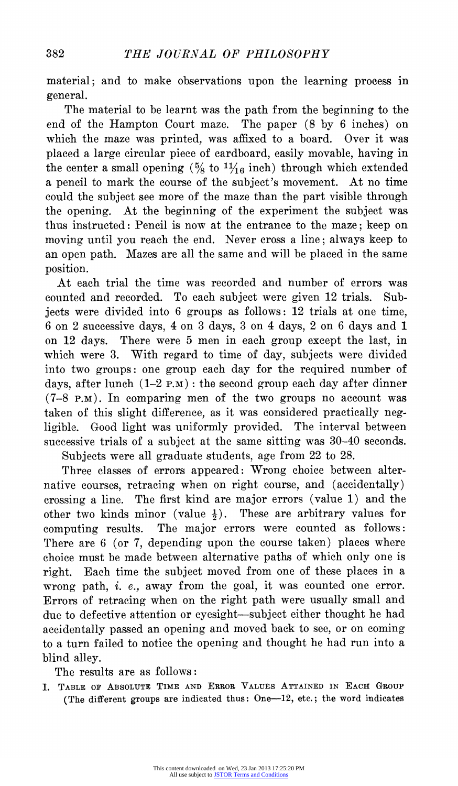**material; and to make observations upon the learning process in general.** 

**The material to be learnt was the path from the beginning to the end of the Hampton Court maze. The paper (8 by 6 inches) on which the maze was printed, was affixed to a board. Over it was placed a large circular piece of cardboard, easily movable, having in**  the center a small opening  $\left(\frac{5}{8} \text{ to } \frac{11}{16} \text{ inch}\right)$  through which extended **a pencil to mark the course of the subject's movement. At no time could the subject see more of the maze than the part visible through the opening. At the beginning of the experiment the subject was thus instructed: Pencil is now at the entrance to the maze; keep on moving until you reach the end. Never cross a line; always keep to an open path. Mazes are all the same and will be placed in the same position.** 

At each trial the time was recorded and number of errors was counted and recorded. To each subject were given 12 trials. Sub-To each subject were given 12 trials. Sub**jects were divided into 6 groups as follows: 12 trials at one time, 6 on 2 successive days, 4 on 3 days, 3 on 4 days, 2 on 6 days and 1 on 12 days. There were 5 men in each group except the last, in which were 3. With regard to time of day, subjects were divided into two groups: one group each day for the required number of days, after lunch (1-2 P.M): the second group each day after dinner (7-8 P.M). In comparing men of the two groups no account was taken of this slight difference, as it was considered practically negligible. Good light was uniformly provided. The interval between successive trials of a subject at the same sitting was 30-40 seconds. Subjects were all graduate students, age from 22 to 28.** 

**Three classes of errors appeared: Wrong choice between alternative courses, retracing when on right course, and (accidentally) crossing a line. The first kind are major errors (value 1) and the other two kinds minor (value 1). These are arbitrary values for computing results. The major errors were counted as follows: There are 6 (or 7, depending upon the course taken) places where choice must be made between alternative paths of which only one is right. Each time the subject moved from one of these places in a wrong path, i. e., away from the goal, it was counted one error. Errors of retracing when on the right path were usually small and due to defective attention or eyesight-subject either thought he had accidentally passed an opening and moved back to see, or on coming to a turn failed to notice the opening and thought he had run into a blind alley.** 

**The results are as follows:** 

**I. TABLE oF ABSOLUTE TIME AND ERROR VALUES ATTAINED IN EACH GROUP**  (The different groups are indicated thus: One-12, etc.; the word indicates